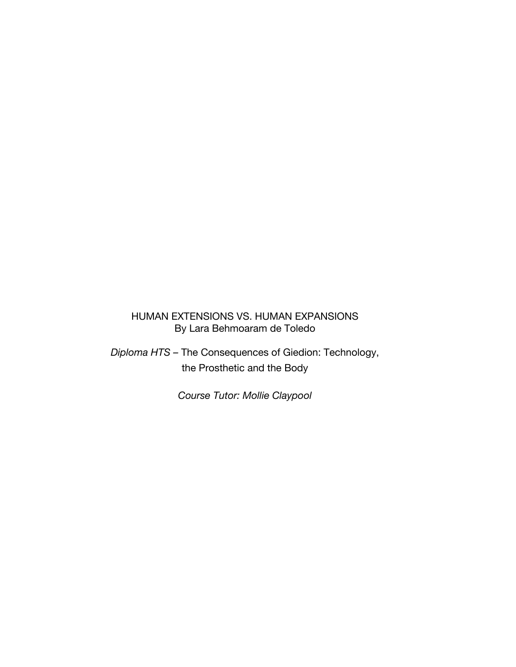## HUMAN EXTENSIONS VS. HUMAN EXPANSIONS By Lara Behmoaram de Toledo

*Diploma HTS –* The Consequences of Giedion: Technology, the Prosthetic and the Body

*Course Tutor: Mollie Claypool*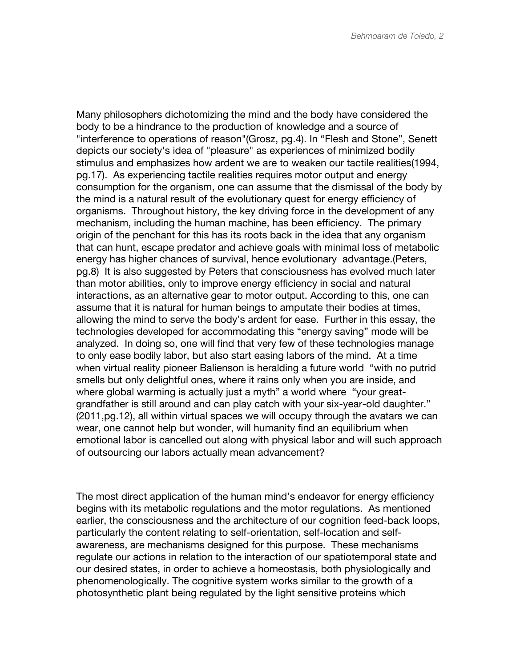Many philosophers dichotomizing the mind and the body have considered the body to be a hindrance to the production of knowledge and a source of "interference to operations of reason"(Grosz, pg.4). In "Flesh and Stone", Senett depicts our society's idea of "pleasure" as experiences of minimized bodily stimulus and emphasizes how ardent we are to weaken our tactile realities(1994, pg.17). As experiencing tactile realities requires motor output and energy consumption for the organism, one can assume that the dismissal of the body by the mind is a natural result of the evolutionary quest for energy efficiency of organisms. Throughout history, the key driving force in the development of any mechanism, including the human machine, has been efficiency. The primary origin of the penchant for this has its roots back in the idea that any organism that can hunt, escape predator and achieve goals with minimal loss of metabolic energy has higher chances of survival, hence evolutionary advantage.(Peters, pg.8) It is also suggested by Peters that consciousness has evolved much later than motor abilities, only to improve energy efficiency in social and natural interactions, as an alternative gear to motor output. According to this, one can assume that it is natural for human beings to amputate their bodies at times, allowing the mind to serve the body's ardent for ease. Further in this essay, the technologies developed for accommodating this "energy saving" mode will be analyzed. In doing so, one will find that very few of these technologies manage to only ease bodily labor, but also start easing labors of the mind. At a time when virtual reality pioneer Balienson is heralding a future world "with no putrid" smells but only delightful ones, where it rains only when you are inside, and where global warming is actually just a myth" a world where "your greatgrandfather is still around and can play catch with your six-year-old daughter." (2011,pg.12), all within virtual spaces we will occupy through the avatars we can wear, one cannot help but wonder, will humanity find an equilibrium when emotional labor is cancelled out along with physical labor and will such approach of outsourcing our labors actually mean advancement?

The most direct application of the human mind's endeavor for energy efficiency begins with its metabolic regulations and the motor regulations. As mentioned earlier, the consciousness and the architecture of our cognition feed-back loops, particularly the content relating to self-orientation, self-location and selfawareness, are mechanisms designed for this purpose. These mechanisms regulate our actions in relation to the interaction of our spatiotemporal state and our desired states, in order to achieve a homeostasis, both physiologically and phenomenologically. The cognitive system works similar to the growth of a photosynthetic plant being regulated by the light sensitive proteins which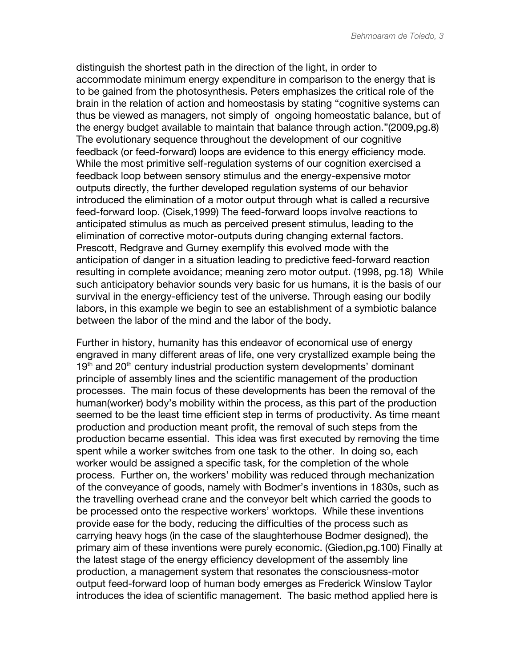distinguish the shortest path in the direction of the light, in order to accommodate minimum energy expenditure in comparison to the energy that is to be gained from the photosynthesis. Peters emphasizes the critical role of the brain in the relation of action and homeostasis by stating "cognitive systems can thus be viewed as managers, not simply of ongoing homeostatic balance, but of the energy budget available to maintain that balance through action."(2009,pg.8) The evolutionary sequence throughout the development of our cognitive feedback (or feed-forward) loops are evidence to this energy efficiency mode. While the most primitive self-regulation systems of our cognition exercised a feedback loop between sensory stimulus and the energy-expensive motor outputs directly, the further developed regulation systems of our behavior introduced the elimination of a motor output through what is called a recursive feed-forward loop. (Cisek,1999) The feed-forward loops involve reactions to anticipated stimulus as much as perceived present stimulus, leading to the elimination of corrective motor-outputs during changing external factors. Prescott, Redgrave and Gurney exemplify this evolved mode with the anticipation of danger in a situation leading to predictive feed-forward reaction resulting in complete avoidance; meaning zero motor output. (1998, pg.18) While such anticipatory behavior sounds very basic for us humans, it is the basis of our survival in the energy-efficiency test of the universe. Through easing our bodily labors, in this example we begin to see an establishment of a symbiotic balance between the labor of the mind and the labor of the body.

Further in history, humanity has this endeavor of economical use of energy engraved in many different areas of life, one very crystallized example being the 19<sup>th</sup> and 20<sup>th</sup> century industrial production system developments' dominant principle of assembly lines and the scientific management of the production processes. The main focus of these developments has been the removal of the human(worker) body's mobility within the process, as this part of the production seemed to be the least time efficient step in terms of productivity. As time meant production and production meant profit, the removal of such steps from the production became essential. This idea was first executed by removing the time spent while a worker switches from one task to the other. In doing so, each worker would be assigned a specific task, for the completion of the whole process. Further on, the workers' mobility was reduced through mechanization of the conveyance of goods, namely with Bodmer's inventions in 1830s, such as the travelling overhead crane and the conveyor belt which carried the goods to be processed onto the respective workers' worktops. While these inventions provide ease for the body, reducing the difficulties of the process such as carrying heavy hogs (in the case of the slaughterhouse Bodmer designed), the primary aim of these inventions were purely economic. (Giedion,pg.100) Finally at the latest stage of the energy efficiency development of the assembly line production, a management system that resonates the consciousness-motor output feed-forward loop of human body emerges as Frederick Winslow Taylor introduces the idea of scientific management. The basic method applied here is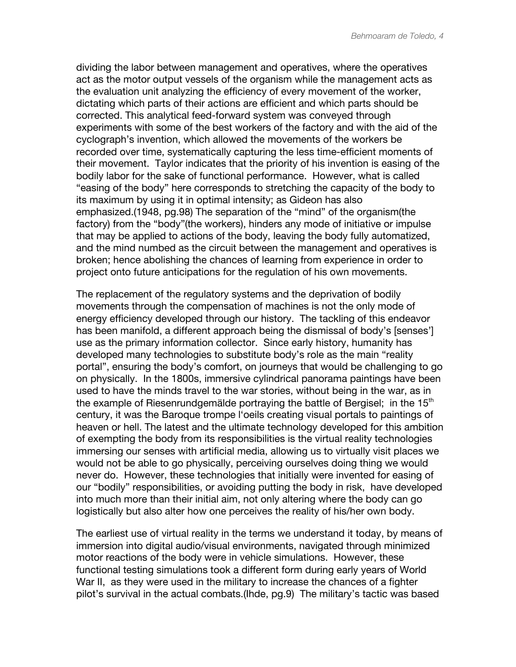dividing the labor between management and operatives, where the operatives act as the motor output vessels of the organism while the management acts as the evaluation unit analyzing the efficiency of every movement of the worker, dictating which parts of their actions are efficient and which parts should be corrected. This analytical feed-forward system was conveyed through experiments with some of the best workers of the factory and with the aid of the cyclograph's invention, which allowed the movements of the workers be recorded over time, systematically capturing the less time-efficient moments of their movement. Taylor indicates that the priority of his invention is easing of the bodily labor for the sake of functional performance. However, what is called "easing of the body" here corresponds to stretching the capacity of the body to its maximum by using it in optimal intensity; as Gideon has also emphasized.(1948, pg.98) The separation of the "mind" of the organism(the factory) from the "body"(the workers), hinders any mode of initiative or impulse that may be applied to actions of the body, leaving the body fully automatized, and the mind numbed as the circuit between the management and operatives is broken; hence abolishing the chances of learning from experience in order to project onto future anticipations for the regulation of his own movements.

The replacement of the regulatory systems and the deprivation of bodily movements through the compensation of machines is not the only mode of energy efficiency developed through our history. The tackling of this endeavor has been manifold, a different approach being the dismissal of body's [senses'] use as the primary information collector. Since early history, humanity has developed many technologies to substitute body's role as the main "reality portal", ensuring the body's comfort, on journeys that would be challenging to go on physically. In the 1800s, immersive cylindrical panorama paintings have been used to have the minds travel to the war stories, without being in the war, as in the example of Riesenrundgemälde portraying the battle of Bergisel; in the  $15<sup>th</sup>$ century, it was the Baroque trompe l'oeils creating visual portals to paintings of heaven or hell. The latest and the ultimate technology developed for this ambition of exempting the body from its responsibilities is the virtual reality technologies immersing our senses with artificial media, allowing us to virtually visit places we would not be able to go physically, perceiving ourselves doing thing we would never do. However, these technologies that initially were invented for easing of our "bodily" responsibilities, or avoiding putting the body in risk, have developed into much more than their initial aim, not only altering where the body can go logistically but also alter how one perceives the reality of his/her own body.

The earliest use of virtual reality in the terms we understand it today, by means of immersion into digital audio/visual environments, navigated through minimized motor reactions of the body were in vehicle simulations. However, these functional testing simulations took a different form during early years of World War II, as they were used in the military to increase the chances of a fighter pilot's survival in the actual combats.(Ihde, pg.9) The military's tactic was based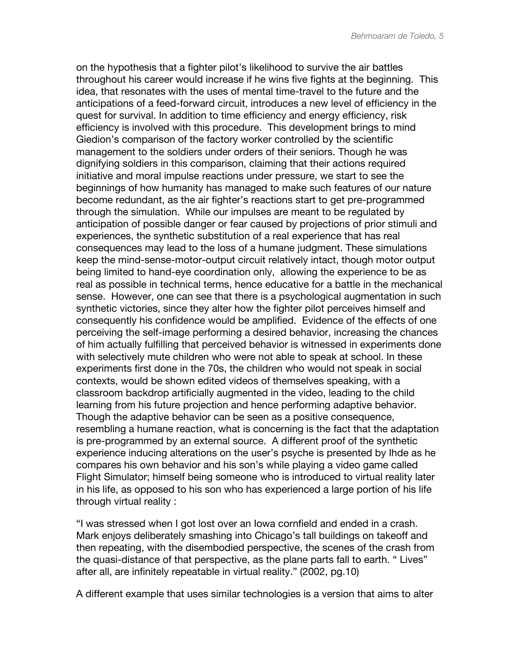on the hypothesis that a fighter pilot's likelihood to survive the air battles throughout his career would increase if he wins five fights at the beginning. This idea, that resonates with the uses of mental time-travel to the future and the anticipations of a feed-forward circuit, introduces a new level of efficiency in the quest for survival. In addition to time efficiency and energy efficiency, risk efficiency is involved with this procedure. This development brings to mind Giedion's comparison of the factory worker controlled by the scientific management to the soldiers under orders of their seniors. Though he was dignifying soldiers in this comparison, claiming that their actions required initiative and moral impulse reactions under pressure, we start to see the beginnings of how humanity has managed to make such features of our nature become redundant, as the air fighter's reactions start to get pre-programmed through the simulation. While our impulses are meant to be regulated by anticipation of possible danger or fear caused by projections of prior stimuli and experiences, the synthetic substitution of a real experience that has real consequences may lead to the loss of a humane judgment. These simulations keep the mind-sense-motor-output circuit relatively intact, though motor output being limited to hand-eye coordination only, allowing the experience to be as real as possible in technical terms, hence educative for a battle in the mechanical sense. However, one can see that there is a psychological augmentation in such synthetic victories, since they alter how the fighter pilot perceives himself and consequently his confidence would be amplified. Evidence of the effects of one perceiving the self-image performing a desired behavior, increasing the chances of him actually fulfilling that perceived behavior is witnessed in experiments done with selectively mute children who were not able to speak at school. In these experiments first done in the 70s, the children who would not speak in social contexts, would be shown edited videos of themselves speaking, with a classroom backdrop artificially augmented in the video, leading to the child learning from his future projection and hence performing adaptive behavior. Though the adaptive behavior can be seen as a positive consequence, resembling a humane reaction, what is concerning is the fact that the adaptation is pre-programmed by an external source. A different proof of the synthetic experience inducing alterations on the user's psyche is presented by Ihde as he compares his own behavior and his son's while playing a video game called Flight Simulator; himself being someone who is introduced to virtual reality later in his life, as opposed to his son who has experienced a large portion of his life through virtual reality :

"I was stressed when I got lost over an Iowa cornfield and ended in a crash. Mark enjoys deliberately smashing into Chicago's tall buildings on takeoff and then repeating, with the disembodied perspective, the scenes of the crash from the quasi-distance of that perspective, as the plane parts fall to earth. " Lives" after all, are infinitely repeatable in virtual reality." (2002, pg.10)

A different example that uses similar technologies is a version that aims to alter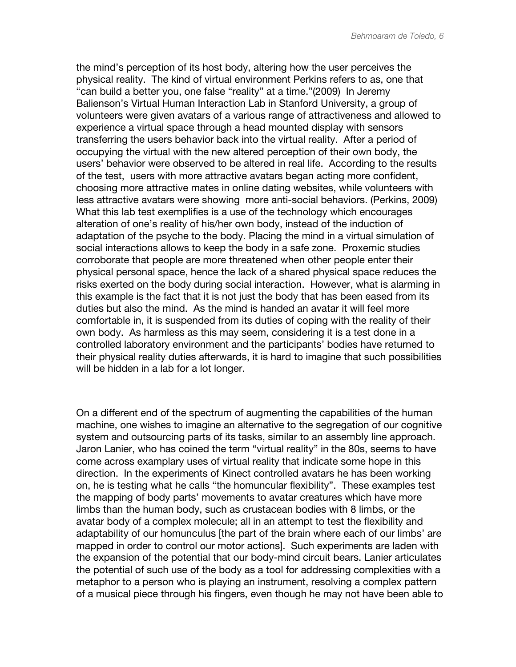the mind's perception of its host body, altering how the user perceives the physical reality. The kind of virtual environment Perkins refers to as, one that "can build a better you, one false "reality" at a time."(2009) In Jeremy Balienson's Virtual Human Interaction Lab in Stanford University, a group of volunteers were given avatars of a various range of attractiveness and allowed to experience a virtual space through a head mounted display with sensors transferring the users behavior back into the virtual reality. After a period of occupying the virtual with the new altered perception of their own body, the users' behavior were observed to be altered in real life. According to the results of the test, users with more attractive avatars began acting more confident, choosing more attractive mates in online dating websites, while volunteers with less attractive avatars were showing more anti-social behaviors. (Perkins, 2009) What this lab test exemplifies is a use of the technology which encourages alteration of one's reality of his/her own body, instead of the induction of adaptation of the psyche to the body. Placing the mind in a virtual simulation of social interactions allows to keep the body in a safe zone. Proxemic studies corroborate that people are more threatened when other people enter their physical personal space, hence the lack of a shared physical space reduces the risks exerted on the body during social interaction. However, what is alarming in this example is the fact that it is not just the body that has been eased from its duties but also the mind. As the mind is handed an avatar it will feel more comfortable in, it is suspended from its duties of coping with the reality of their own body. As harmless as this may seem, considering it is a test done in a controlled laboratory environment and the participants' bodies have returned to their physical reality duties afterwards, it is hard to imagine that such possibilities will be hidden in a lab for a lot longer.

On a different end of the spectrum of augmenting the capabilities of the human machine, one wishes to imagine an alternative to the segregation of our cognitive system and outsourcing parts of its tasks, similar to an assembly line approach. Jaron Lanier, who has coined the term "virtual reality" in the 80s, seems to have come across examplary uses of virtual reality that indicate some hope in this direction. In the experiments of Kinect controlled avatars he has been working on, he is testing what he calls "the homuncular flexibility". These examples test the mapping of body parts' movements to avatar creatures which have more limbs than the human body, such as crustacean bodies with 8 limbs, or the avatar body of a complex molecule; all in an attempt to test the flexibility and adaptability of our homunculus [the part of the brain where each of our limbs' are mapped in order to control our motor actions]. Such experiments are laden with the expansion of the potential that our body-mind circuit bears. Lanier articulates the potential of such use of the body as a tool for addressing complexities with a metaphor to a person who is playing an instrument, resolving a complex pattern of a musical piece through his fingers, even though he may not have been able to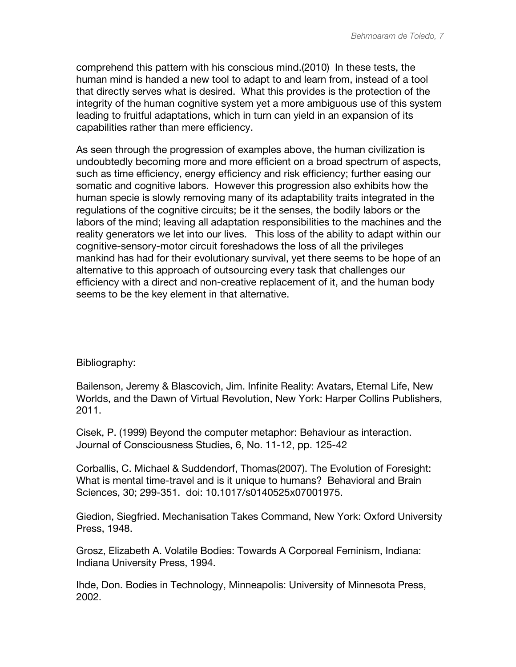comprehend this pattern with his conscious mind.(2010) In these tests, the human mind is handed a new tool to adapt to and learn from, instead of a tool that directly serves what is desired. What this provides is the protection of the integrity of the human cognitive system yet a more ambiguous use of this system leading to fruitful adaptations, which in turn can yield in an expansion of its capabilities rather than mere efficiency.

As seen through the progression of examples above, the human civilization is undoubtedly becoming more and more efficient on a broad spectrum of aspects, such as time efficiency, energy efficiency and risk efficiency; further easing our somatic and cognitive labors. However this progression also exhibits how the human specie is slowly removing many of its adaptability traits integrated in the regulations of the cognitive circuits; be it the senses, the bodily labors or the labors of the mind; leaving all adaptation responsibilities to the machines and the reality generators we let into our lives. This loss of the ability to adapt within our cognitive-sensory-motor circuit foreshadows the loss of all the privileges mankind has had for their evolutionary survival, yet there seems to be hope of an alternative to this approach of outsourcing every task that challenges our efficiency with a direct and non-creative replacement of it, and the human body seems to be the key element in that alternative.

## Bibliography:

Bailenson, Jeremy & Blascovich, Jim. Infinite Reality: Avatars, Eternal Life, New Worlds, and the Dawn of Virtual Revolution, New York: Harper Collins Publishers, 2011.

Cisek, P. (1999) Beyond the computer metaphor: Behaviour as interaction. Journal of Consciousness Studies, 6, No. 11-12, pp. 125-42

Corballis, C. Michael & Suddendorf, Thomas(2007). The Evolution of Foresight: What is mental time-travel and is it unique to humans? Behavioral and Brain Sciences, 30; 299-351. doi: 10.1017/s0140525x07001975.

Giedion, Siegfried. Mechanisation Takes Command, New York: Oxford University Press, 1948.

Grosz, Elizabeth A. Volatile Bodies: Towards A Corporeal Feminism, Indiana: Indiana University Press, 1994.

Ihde, Don. Bodies in Technology, Minneapolis: University of Minnesota Press, 2002.